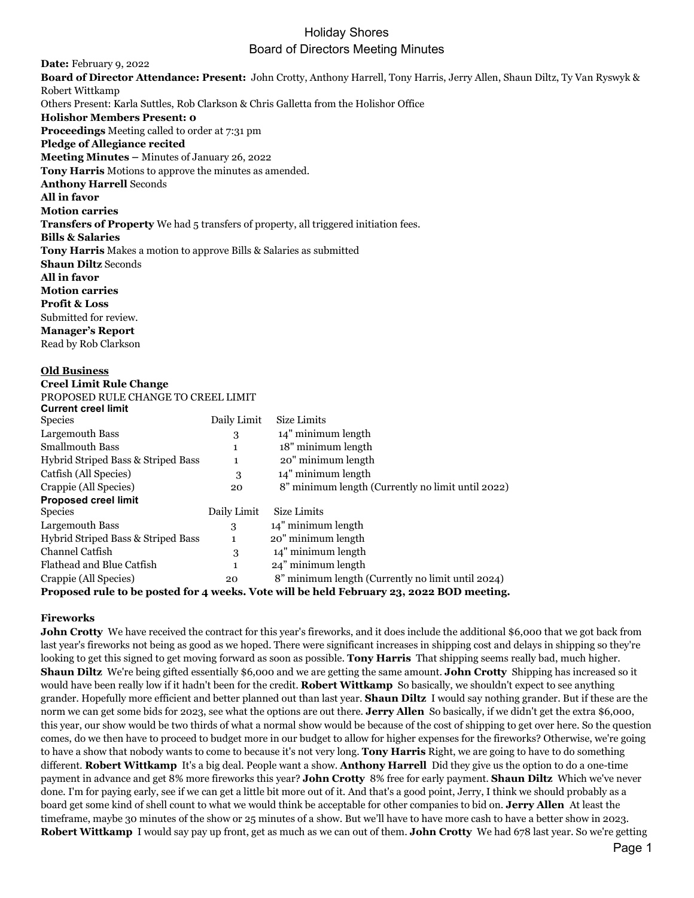## Holiday Shores Board of Directors Meeting Minutes

**Date:** February 9, 2022 **Board of Director Attendance: Present:** John Crotty, Anthony Harrell, Tony Harris, Jerry Allen, Shaun Diltz, Ty Van Ryswyk & Robert Wittkamp Others Present: Karla Suttles, Rob Clarkson & Chris Galletta from the Holishor Office **Holishor Members Present: 0 Proceedings** Meeting called to order at 7:31 pm **Pledge of Allegiance recited Meeting Minutes –** Minutes of January 26, 2022 **Tony Harris** Motions to approve the minutes as amended. **Anthony Harrell** Seconds **All in favor Motion carries Transfers of Property** We had 5 transfers of property, all triggered initiation fees. **Bills & Salaries Tony Harris** Makes a motion to approve Bills & Salaries as submitted **Shaun Diltz** Seconds **All in favor Motion carries Profit & Loss** Submitted for review. **Manager's Report** Read by Rob Clarkson

#### **Old Business**

**Creel Limit Rule Change**

PROPOSED RULE CHANGE TO CREEL LIMIT

| <b>Current creel limit</b>         |             |                                                   |
|------------------------------------|-------------|---------------------------------------------------|
| <b>Species</b>                     | Daily Limit | Size Limits                                       |
| Largemouth Bass                    | 3           | 14" minimum length                                |
| <b>Smallmouth Bass</b>             | 1           | 18" minimum length                                |
| Hybrid Striped Bass & Striped Bass | 1           | 20" minimum length                                |
| Catfish (All Species)              | 3           | 14" minimum length                                |
| Crappie (All Species)              | 20          | 8" minimum length (Currently no limit until 2022) |
| <b>Proposed creel limit</b>        |             |                                                   |
| <b>Species</b>                     | Daily Limit | Size Limits                                       |
| Largemouth Bass                    | 3           | 14" minimum length                                |
| Hybrid Striped Bass & Striped Bass | 1           | 20" minimum length                                |
| Channel Catfish                    | 3           | 14" minimum length                                |
| Flathead and Blue Catfish          | 1           | 24" minimum length                                |
| Crappie (All Species)              | 20          | 8" minimum length (Currently no limit until 2024) |
|                                    |             | $\cdots$                                          |

**Proposed rule to be posted for 4 weeks. Vote will be held February 23, 2022 BOD meeting.**

## **Fireworks**

**John Crotty** We have received the contract for this year's fireworks, and it does include the additional \$6,000 that we got back from last year's fireworks not being as good as we hoped. There were significant increases in shipping cost and delays in shipping so they're looking to get this signed to get moving forward as soon as possible. **Tony Harris** That shipping seems really bad, much higher. **Shaun Diltz** We're being gifted essentially \$6,000 and we are getting the same amount. **John Crotty** Shipping has increased so it would have been really low if it hadn't been for the credit. **Robert Wittkamp** So basically, we shouldn't expect to see anything grander. Hopefully more efficient and better planned out than last year. **Shaun Diltz** I would say nothing grander. But if these are the norm we can get some bids for 2023, see what the options are out there. **Jerry Allen** So basically, if we didn't get the extra \$6,000, this year, our show would be two thirds of what a normal show would be because of the cost of shipping to get over here. So the question comes, do we then have to proceed to budget more in our budget to allow for higher expenses for the fireworks? Otherwise, we're going to have a show that nobody wants to come to because it's not very long. **Tony Harris** Right, we are going to have to do something different. **Robert Wittkamp** It's a big deal. People want a show. **Anthony Harrell** Did they give us the option to do a one-time payment in advance and get 8% more fireworks this year? **John Crotty** 8% free for early payment. **Shaun Diltz** Which we've never done. I'm for paying early, see if we can get a little bit more out of it. And that's a good point, Jerry, I think we should probably as a board get some kind of shell count to what we would think be acceptable for other companies to bid on. **Jerry Allen** At least the timeframe, maybe 30 minutes of the show or 25 minutes of a show. But we'll have to have more cash to have a better show in 2023. **Robert Wittkamp** I would say pay up front, get as much as we can out of them. **John Crotty** We had 678 last year. So we're getting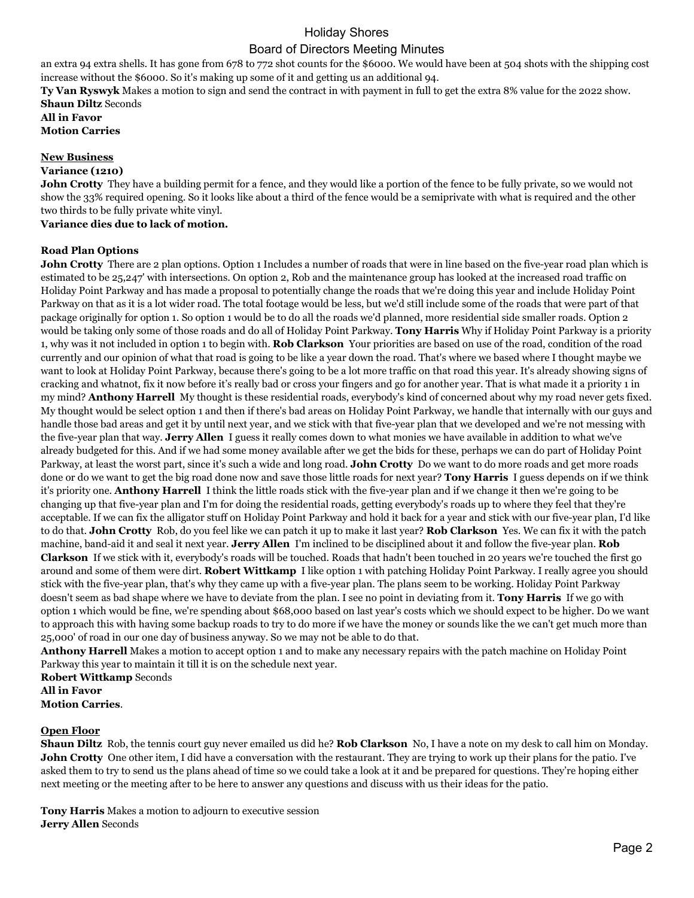# Holiday Shores Board of Directors Meeting Minutes

an extra 94 extra shells. It has gone from 678 to 772 shot counts for the \$6000. We would have been at 504 shots with the shipping cost increase without the \$6000. So it's making up some of it and getting us an additional 94.

**Ty Van Ryswyk** Makes a motion to sign and send the contract in with payment in full to get the extra 8% value for the 2022 show. **Shaun Diltz** Seconds

**All in Favor Motion Carries**

#### **New Business**

#### **Variance (1210)**

**John Crotty** They have a building permit for a fence, and they would like a portion of the fence to be fully private, so we would not show the 33% required opening. So it looks like about a third of the fence would be a semiprivate with what is required and the other two thirds to be fully private white vinyl.

## **Variance dies due to lack of motion.**

## **Road Plan Options**

**John Crotty** There are 2 plan options. Option 1 Includes a number of roads that were in line based on the five-year road plan which is estimated to be 25,247' with intersections. On option 2, Rob and the maintenance group has looked at the increased road traffic on Holiday Point Parkway and has made a proposal to potentially change the roads that we're doing this year and include Holiday Point Parkway on that as it is a lot wider road. The total footage would be less, but we'd still include some of the roads that were part of that package originally for option 1. So option 1 would be to do all the roads we'd planned, more residential side smaller roads. Option 2 would be taking only some of those roads and do all of Holiday Point Parkway. **Tony Harris** Why if Holiday Point Parkway is a priority 1, why was it not included in option 1 to begin with. **Rob Clarkson** Your priorities are based on use of the road, condition of the road currently and our opinion of what that road is going to be like a year down the road. That's where we based where I thought maybe we want to look at Holiday Point Parkway, because there's going to be a lot more traffic on that road this year. It's already showing signs of cracking and whatnot, fix it now before it's really bad or cross your fingers and go for another year. That is what made it a priority 1 in my mind? **Anthony Harrell** My thought is these residential roads, everybody's kind of concerned about why my road never gets fixed. My thought would be select option 1 and then if there's bad areas on Holiday Point Parkway, we handle that internally with our guys and handle those bad areas and get it by until next year, and we stick with that five-year plan that we developed and we're not messing with the five-year plan that way. **Jerry Allen** I guess it really comes down to what monies we have available in addition to what we've already budgeted for this. And if we had some money available after we get the bids for these, perhaps we can do part of Holiday Point Parkway, at least the worst part, since it's such a wide and long road. **John Crotty** Do we want to do more roads and get more roads done or do we want to get the big road done now and save those little roads for next year? **Tony Harris** I guess depends on if we think it's priority one. **Anthony Harrell** I think the little roads stick with the five-year plan and if we change it then we're going to be changing up that five-year plan and I'm for doing the residential roads, getting everybody's roads up to where they feel that they're acceptable. If we can fix the alligator stuff on Holiday Point Parkway and hold it back for a year and stick with our five-year plan, I'd like to do that. **John Crotty** Rob, do you feel like we can patch it up to make it last year? **Rob Clarkson** Yes. We can fix it with the patch machine, band-aid it and seal it next year. **Jerry Allen** I'm inclined to be disciplined about it and follow the five-year plan. **Rob Clarkson** If we stick with it, everybody's roads will be touched. Roads that hadn't been touched in 20 years we're touched the first go around and some of them were dirt. **Robert Wittkamp** I like option 1 with patching Holiday Point Parkway. I really agree you should stick with the five-year plan, that's why they came up with a five-year plan. The plans seem to be working. Holiday Point Parkway doesn't seem as bad shape where we have to deviate from the plan. I see no point in deviating from it. **Tony Harris** If we go with option 1 which would be fine, we're spending about \$68,000 based on last year's costs which we should expect to be higher. Do we want to approach this with having some backup roads to try to do more if we have the money or sounds like the we can't get much more than 25,000' of road in our one day of business anyway. So we may not be able to do that.

**Anthony Harrell** Makes a motion to accept option 1 and to make any necessary repairs with the patch machine on Holiday Point Parkway this year to maintain it till it is on the schedule next year.

**Robert Wittkamp** Seconds **All in Favor Motion Carries**.

## **Open Floor**

**Shaun Diltz** Rob, the tennis court guy never emailed us did he? **Rob Clarkson** No, I have a note on my desk to call him on Monday. **John Crotty** One other item, I did have a conversation with the restaurant. They are trying to work up their plans for the patio. I've asked them to try to send us the plans ahead of time so we could take a look at it and be prepared for questions. They're hoping either next meeting or the meeting after to be here to answer any questions and discuss with us their ideas for the patio.

**Tony Harris** Makes a motion to adjourn to executive session **Jerry Allen** Seconds